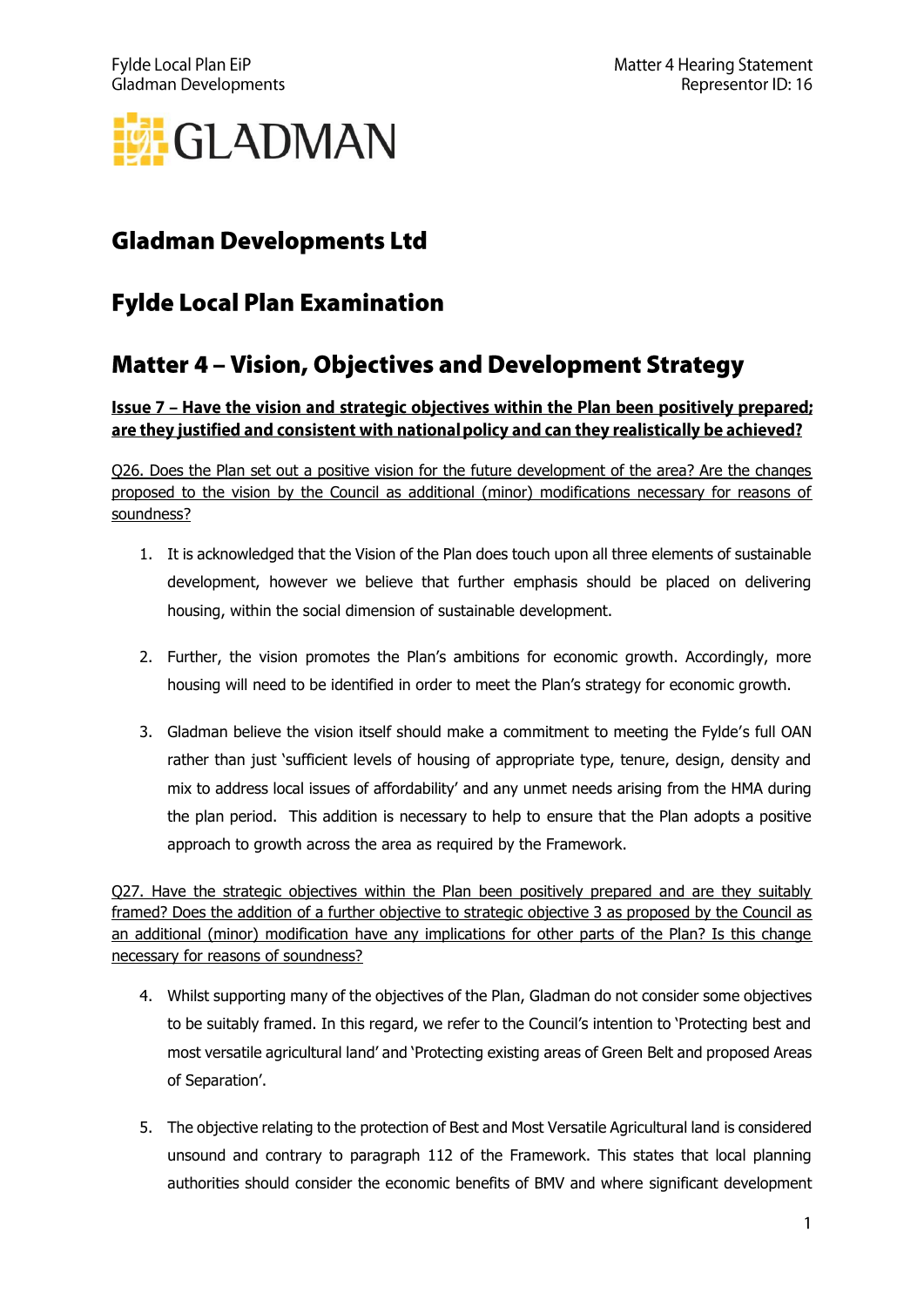

## **Gladman Developments Ltd**

## **Fylde Local Plan Examination**

## **Matter 4 - Vision, Objectives and Development Strategy**

Issue 7 - Have the vision and strategic objectives within the Plan been positively prepared; are they justified and consistent with national policy and can they realistically be achieved?

Q26. Does the Plan set out a positive vision for the future development of the area? Are the changes proposed to the vision by the Council as additional (minor) modifications necessary for reasons of soundness?

- 1. It is acknowledged that the Vision of the Plan does touch upon all three elements of sustainable development, however we believe that further emphasis should be placed on delivering housing, within the social dimension of sustainable development.
- 2. Further, the vision promotes the Plan's ambitions for economic growth. Accordingly, more housing will need to be identified in order to meet the Plan's strategy for economic growth.
- 3. Gladman believe the vision itself should make a commitment to meeting the Fylde's full OAN rather than just 'sufficient levels of housing of appropriate type, tenure, design, density and mix to address local issues of affordability' and any unmet needs arising from the HMA during the plan period. This addition is necessary to help to ensure that the Plan adopts a positive approach to growth across the area as required by the Framework.

Q27. Have the strategic objectives within the Plan been positively prepared and are they suitably framed? Does the addition of a further objective to strategic objective 3 as proposed by the Council as an additional (minor) modification have any implications for other parts of the Plan? Is this change necessary for reasons of soundness?

- 4. Whilst supporting many of the objectives of the Plan, Gladman do not consider some objectives to be suitably framed. In this regard, we refer to the Council's intention to 'Protecting best and most versatile agricultural land' and 'Protecting existing areas of Green Belt and proposed Areas of Separation'.
- 5. The objective relating to the protection of Best and Most Versatile Agricultural land is considered unsound and contrary to paragraph 112 of the Framework. This states that local planning authorities should consider the economic benefits of BMV and where significant development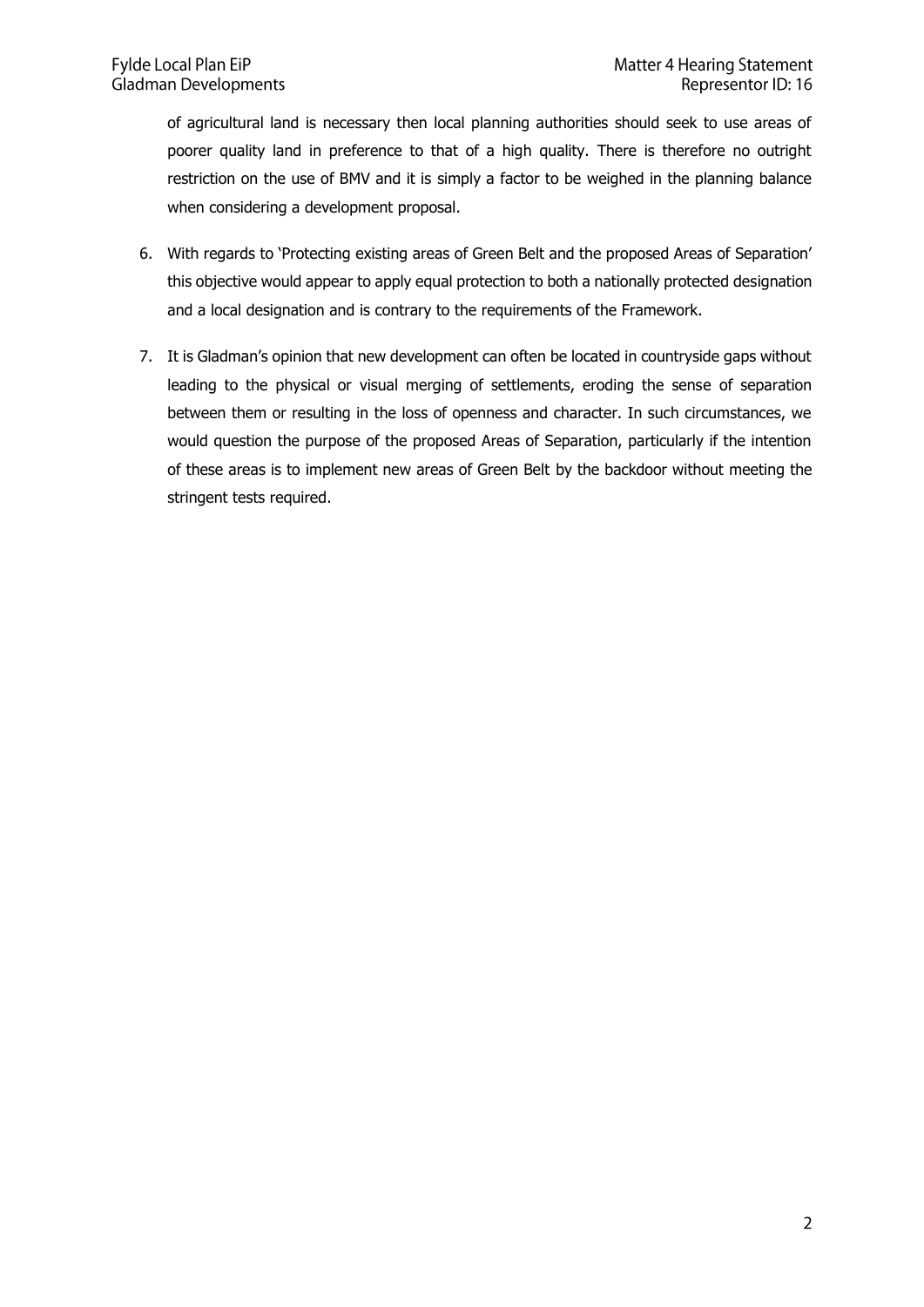of agricultural land is necessary then local planning authorities should seek to use areas of poorer quality land in preference to that of a high quality. There is therefore no outright restriction on the use of BMV and it is simply a factor to be weighed in the planning balance when considering a development proposal.

- 6. With regards to 'Protecting existing areas of Green Belt and the proposed Areas of Separation' this objective would appear to apply equal protection to both a nationally protected designation and a local designation and is contrary to the requirements of the Framework.
- 7. It is Gladman's opinion that new development can often be located in countryside gaps without leading to the physical or visual merging of settlements, eroding the sense of separation between them or resulting in the loss of openness and character. In such circumstances, we would question the purpose of the proposed Areas of Separation, particularly if the intention of these areas is to implement new areas of Green Belt by the backdoor without meeting the stringent tests required.